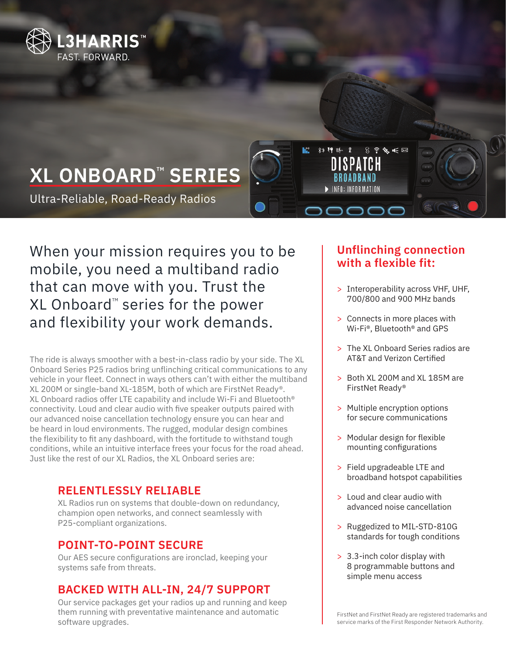

# **XL ONBOARD™ SERIES**

Ultra-Reliable, Road-Ready Radios

When your mission requires you to be mobile, you need a multiband radio that can move with you. Trust the  $XL$  Onboard<sup>™</sup> series for the power and flexibility your work demands.

The ride is always smoother with a best-in-class radio by your side. The XL Onboard Series P25 radios bring unflinching critical communications to any vehicle in your fleet. Connect in ways others can't with either the multiband XL 200M or single-band XL-185M, both of which are FirstNet Ready®. XL Onboard radios offer LTE capability and include Wi-Fi and Bluetooth® connectivity. Loud and clear audio with five speaker outputs paired with our advanced noise cancellation technology ensure you can hear and be heard in loud environments. The rugged, modular design combines the flexibility to fit any dashboard, with the fortitude to withstand tough conditions, while an intuitive interface frees your focus for the road ahead. Just like the rest of our XL Radios, the XL Onboard series are:

## **RELENTLESSLY RELIABLE**

XL Radios run on systems that double-down on redundancy, champion open networks, and connect seamlessly with P25-compliant organizations.

## **POINT-TO-POINT SECURE**

Our AES secure configurations are ironclad, keeping your systems safe from threats.

# **BACKED WITH ALL-IN, 24/7 SUPPORT**

Our service packages get your radios up and running and keep them running with preventative maintenance and automatic software upgrades.

## **Unflinching connection with a flexible fit:**

 $S \n\cong X \n\in \boxtimes$ 

8) 押 听 冒

- > Interoperability across VHF, UHF, 700/800 and 900 MHz bands
- > Connects in more places with Wi-Fi®, Bluetooth® and GPS
- > The XL Onboard Series radios are AT&T and Verizon Certified
- > Both XL 200M and XL 185M are FirstNet Ready®
- > Multiple encryption options for secure communications
- > Modular design for flexible mounting configurations
- > Field upgradeable LTE and broadband hotspot capabilities
- > Loud and clear audio with advanced noise cancellation
- > Ruggedized to MIL-STD-810G standards for tough conditions
- > 3.3-inch color display with 8 programmable buttons and simple menu access

FirstNet and FirstNet Ready are registered trademarks and service marks of the First Responder Network Authority.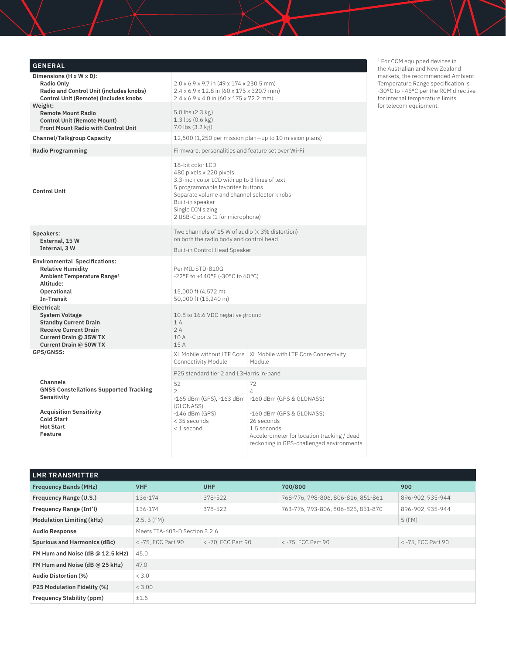| <b>GENERAL</b>                                                                                                                                              |                                                                                                                                                                                                                                                             |                                                                                                                                                 |  |  |  |
|-------------------------------------------------------------------------------------------------------------------------------------------------------------|-------------------------------------------------------------------------------------------------------------------------------------------------------------------------------------------------------------------------------------------------------------|-------------------------------------------------------------------------------------------------------------------------------------------------|--|--|--|
| Dimensions (H x W x D):<br><b>Radio Only</b><br>Radio and Control Unit (includes knobs)<br>Control Unit (Remote) (includes knobs                            | $2.0 \times 6.9 \times 9.7$ in (49 x 174 x 230.5 mm)<br>2.4 x 6.9 x 12.8 in (60 x 175 x 320.7 mm)<br>$2.4 \times 6.9 \times 4.0$ in $(60 \times 175 \times 72.2$ mm)                                                                                        |                                                                                                                                                 |  |  |  |
| Weight:<br><b>Remote Mount Radio</b><br><b>Control Unit (Remote Mount)</b><br>Front Mount Radio with Control Unit                                           | $5.0$ lbs $(2.3$ kg)<br>$1.3$ lbs $(0.6 \text{ kg})$<br>7.0 lbs (3.2 kg)                                                                                                                                                                                    |                                                                                                                                                 |  |  |  |
| <b>Channel/Talkgroup Capacity</b>                                                                                                                           |                                                                                                                                                                                                                                                             | 12,500 (1,250 per mission plan-up to 10 mission plans)                                                                                          |  |  |  |
| <b>Radio Programming</b>                                                                                                                                    | Firmware, personalities and feature set over Wi-Fi                                                                                                                                                                                                          |                                                                                                                                                 |  |  |  |
| <b>Control Unit</b>                                                                                                                                         | 18-bit color LCD<br>480 pixels x 220 pixels<br>3.3-inch color LCD with up to 3 lines of text<br>5 programmable favorites buttons<br>Separate volume and channel selector knobs<br>Built-in speaker<br>Single DIN sizing<br>2 USB-C ports (1 for microphone) |                                                                                                                                                 |  |  |  |
| Speakers:<br>External, 15 W<br>Internal, 3 W                                                                                                                | Two channels of 15 W of audio (< 3% distortion)<br>on both the radio body and control head<br><b>Built-in Control Head Speaker</b>                                                                                                                          |                                                                                                                                                 |  |  |  |
| <b>Environmental Specifications:</b><br><b>Relative Humidity</b><br>Ambient Temperature Range <sup>1</sup><br>Altitude:<br>Operational<br><b>In-Transit</b> | Per MIL-STD-810G<br>-22°F to +140°F (-30°C to 60°C)<br>15,000 ft (4,572 m)                                                                                                                                                                                  |                                                                                                                                                 |  |  |  |
| Electrical:<br><b>System Voltage</b><br><b>Standby Current Drain</b><br><b>Receive Current Drain</b><br>Current Drain @ 35W TX<br>Current Drain @ 50W TX    | 50,000 ft (15,240 m)<br>10.8 to 16.6 VDC negative ground<br>1 A<br>2A<br>10A<br>15A                                                                                                                                                                         |                                                                                                                                                 |  |  |  |
| GPS/GNSS:                                                                                                                                                   | Connectivity Module                                                                                                                                                                                                                                         | XL Mobile without LTE Core   XL Mobile with LTE Core Connectivity<br>Module                                                                     |  |  |  |
|                                                                                                                                                             | P25 standard tier 2 and L3Harris in-band                                                                                                                                                                                                                    |                                                                                                                                                 |  |  |  |
| Channels<br><b>GNSS Constellations Supported Tracking</b><br>Sensitivity                                                                                    | 52<br>$\overline{2}$<br>(GLONASS)                                                                                                                                                                                                                           | 72<br>4<br>$-165$ dBm (GPS), $-163$ dBm $-160$ dBm (GPS & GLONASS)                                                                              |  |  |  |
| <b>Acquisition Sensitivity</b><br><b>Cold Start</b><br><b>Hot Start</b><br><b>Feature</b>                                                                   | $-146$ dBm (GPS)<br>< 35 seconds<br>< 1 second                                                                                                                                                                                                              | -160 dBm (GPS & GLONASS)<br>26 seconds<br>1.5 seconds<br>Accelerometer for location tracking / dead<br>reckoning in GPS-challenged environments |  |  |  |

1 For CCM equipped devices in the Australian and New Zealand markets, the recommended Ambient Temperature Range specification is -30°C to +45°C per the RCM directive for internal temperature limits for telecom equipment.

| <b>LMR TRANSMITTER</b>              |                         |                               |                                    |                    |  |
|-------------------------------------|-------------------------|-------------------------------|------------------------------------|--------------------|--|
| <b>Frequency Bands (MHz)</b>        | <b>VHF</b>              | <b>UHF</b>                    | 700/800                            | 900                |  |
| Frequency Range (U.S.)              | 136-174                 | 378-522                       | 768-776, 798-806, 806-816, 851-861 | 896-902, 935-944   |  |
| Frequency Range (Int'l)             | 136-174                 | 378-522                       | 763-776, 793-806, 806-825, 851-870 | 896-902, 935-944   |  |
| <b>Modulation Limiting (kHz)</b>    | 5 (FM)<br>$2.5, 5$ (FM) |                               |                                    |                    |  |
| <b>Audio Response</b>               |                         | Meets TIA-603-D Section 3.2.6 |                                    |                    |  |
| <b>Spurious and Harmonics (dBc)</b> | < -75, FCC Part 90      | < -70, FCC Part 90            | < -75, FCC Part 90                 | < -75, FCC Part 90 |  |
| FM Hum and Noise (dB @ 12.5 kHz)    | 45.0                    |                               |                                    |                    |  |
| FM Hum and Noise (dB @ 25 kHz)      | 47.0                    |                               |                                    |                    |  |
| Audio Distortion (%)                | < 3.0                   |                               |                                    |                    |  |
| P25 Modulation Fidelity (%)         | < 3.00                  |                               |                                    |                    |  |
| <b>Frequency Stability (ppm)</b>    | ±1.5                    |                               |                                    |                    |  |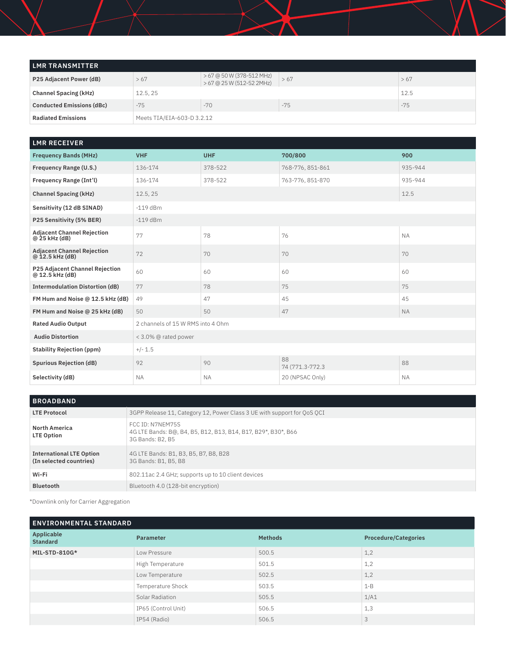| LMR TRANSMITTER                  |                            |                                                        |       |       |  |
|----------------------------------|----------------------------|--------------------------------------------------------|-------|-------|--|
| P25 Adjacent Power (dB)          | >67                        | > 67 @ 50 W (378-512 MHz)<br>> 67 @ 25 W (512-52 2MHz) | >67   | >67   |  |
| <b>Channel Spacing (kHz)</b>     | 12.5, 25                   |                                                        |       | 12.5  |  |
| <b>Conducted Emissions (dBc)</b> | $-75$                      | $-70$                                                  | $-75$ | $-75$ |  |
| <b>Radiated Emissions</b>        | Meets TIA/EIA-603-D 3.2.12 |                                                        |       |       |  |

| <b>LMR RECEIVER</b>                                   |                                   |            |                       |           |  |
|-------------------------------------------------------|-----------------------------------|------------|-----------------------|-----------|--|
| <b>Frequency Bands (MHz)</b>                          | <b>VHF</b>                        | <b>UHF</b> | 700/800               | 900       |  |
| Frequency Range (U.S.)                                | 136-174                           | 378-522    | 768-776, 851-861      | 935-944   |  |
| Frequency Range (Int'l)                               | 136-174                           | 378-522    | 763-776, 851-870      | 935-944   |  |
| <b>Channel Spacing (kHz)</b>                          | 12.5, 25                          |            |                       | 12.5      |  |
| Sensitivity (12 dB SINAD)                             | $-119$ dBm                        |            |                       |           |  |
| P25 Sensitivity (5% BER)                              | $-119$ dBm                        |            |                       |           |  |
| <b>Adjacent Channel Rejection</b><br>$@25$ kHz (dB)   | 77                                | 78         | 76                    | <b>NA</b> |  |
| <b>Adjacent Channel Rejection</b><br>$@12.5$ kHz (dB) | 72                                | 70         | 70                    | 70        |  |
| P25 Adjacent Channel Rejection<br>$@ 12.5$ kHz (dB)   | 60                                | 60         | 60                    | 60        |  |
| <b>Intermodulation Distortion (dB)</b>                | 77                                | 78         | 75                    | 75        |  |
| FM Hum and Noise @ 12.5 kHz (dB)                      | 49                                | 47         | 45                    | 45        |  |
| FM Hum and Noise @ 25 kHz (dB)                        | 50                                | 50         | 47                    | <b>NA</b> |  |
| <b>Rated Audio Output</b>                             | 2 channels of 15 W RMS into 4 Ohm |            |                       |           |  |
| <b>Audio Distortion</b>                               | < 3.0% @ rated power              |            |                       |           |  |
| <b>Stability Rejection (ppm)</b>                      | $+/- 1.5$                         |            |                       |           |  |
| <b>Spurious Rejection (dB)</b>                        | 92                                | 90         | 88<br>74 (771.3-772.3 | 88        |  |
| Selectivity (dB)                                      | <b>NA</b>                         | <b>NA</b>  | 20 (NPSAC Only)       | <b>NA</b> |  |

| <b>BROADBAND</b>                                           |                                                                                                       |  |  |  |
|------------------------------------------------------------|-------------------------------------------------------------------------------------------------------|--|--|--|
| <b>LTE Protocol</b>                                        | 3GPP Release 11, Category 12, Power Class 3 UE with support for QoS QCI                               |  |  |  |
| <b>North America</b><br><b>LTE Option</b>                  | FCC ID: N7NEM75S<br>4G LTE Bands: B@, B4, B5, B12, B13, B14, B17, B29*, B30*, B66<br>3G Bands: B2, B5 |  |  |  |
| <b>International LTE Option</b><br>(In selected countries) | 4G LTE Bands: B1, B3, B5, B7, B8, B28<br>3G Bands: B1, B5, B8                                         |  |  |  |
| Wi-Fi                                                      | 802.11ac 2.4 GHz; supports up to 10 client devices                                                    |  |  |  |
| <b>Bluetooth</b>                                           | Bluetooth 4.0 (128-bit encryption)                                                                    |  |  |  |

\*Downlink only for Carrier Aggregation

| <b>ENVIRONMENTAL STANDARD</b>        |                     |                |                             |  |  |
|--------------------------------------|---------------------|----------------|-----------------------------|--|--|
| <b>Applicable</b><br><b>Standard</b> | <b>Parameter</b>    | <b>Methods</b> | <b>Procedure/Categories</b> |  |  |
| MIL-STD-810G*                        | Low Pressure        | 500.5          | 1,2                         |  |  |
|                                      | High Temperature    | 501.5          | 1,2                         |  |  |
|                                      | Low Temperature     | 502.5          | 1,2                         |  |  |
|                                      | Temperature Shock   | 503.5          | $1 - B$                     |  |  |
|                                      | Solar Radiation     | 505.5          | 1/A1                        |  |  |
|                                      | IP65 (Control Unit) | 506.5          | 1,3                         |  |  |
|                                      | IP54 (Radio)        | 506.5          | 3                           |  |  |